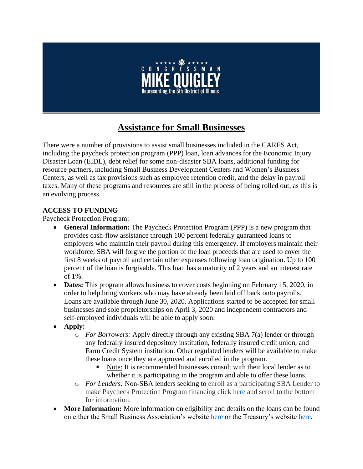

# **Assistance for Small Businesses**

There were a number of provisions to assist small businesses included in the CARES Act, including the paycheck protection program (PPP) loan, loan advances for the Economic Injury Disaster Loan (EIDL), debt relief for some non-disaster SBA loans, additional funding for resource partners, including Small Business Development Centers and Women's Business Centers, as well as tax provisions such as employee retention credit, and the delay in payroll taxes. Many of these programs and resources are still in the process of being rolled out, as this is an evolving process.

### **ACCESS TO FUNDING**

#### Paycheck Protection Program:

- **General Information:** The Paycheck Protection Program (PPP) is a new program that provides cash-flow assistance through 100 percent federally guaranteed loans to employers who maintain their payroll during this emergency. If employers maintain their workforce, SBA will forgive the portion of the loan proceeds that are used to cover the first 8 weeks of payroll and certain other expenses following loan origination. Up to 100 percent of the loan is forgivable. This loan has a maturity of 2 years and an interest rate of 1%.
- **Dates:** This program allows business to cover costs beginning on February 15, 2020, in order to help bring workers who may have already been laid off back onto payrolls. Loans are available through June 30, 2020. Applications started to be accepted for small businesses and sole proprietorships on April 3, 2020 and independent contractors and self-employed individuals will be able to apply soon.
- **Apply:**
	- o *For Borrowers:* Apply directly through any existing SBA 7(a) lender or through any federally insured depository institution, federally insured credit union, and Farm Credit System institution. Other regulated lenders will be available to make these loans once they are approved and enrolled in the program.
		- Note: It is recommended businesses consult with their local lender as to whether it is participating in the program and able to offer these loans.
	- o *For Lenders:* Non-SBA lenders seeking to enroll as a participating SBA Lender to make Paycheck Protection Program financing click [here](https://www.sba.gov/funding-programs/loans/coronavirus-relief-options/paycheck-protection-program-ppp) and scroll to the bottom for information.
- **More Information:** More information on eligibility and details on the loans can be found on either the Small Business Association's website [here](https://www.sba.gov/funding-programs/loans/coronavirus-relief-options/paycheck-protection-program-ppp) or the Treasury's website [here.](https://home.treasury.gov/policy-issues/top-priorities/cares-act/assistance-for-small-businesses)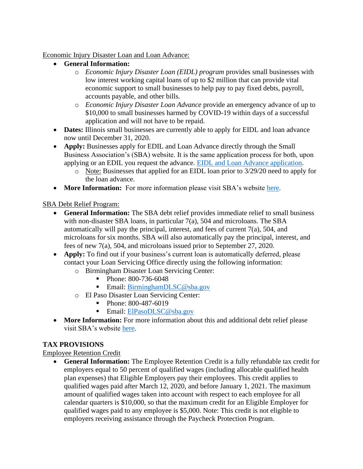Economic Injury Disaster Loan and Loan Advance:

- **General Information:**
	- o *Economic Injury Disaster Loan (EIDL) program* provides small businesses with low interest working capital loans of up to \$2 million that can provide vital economic support to small businesses to help pay to pay fixed debts, payroll, accounts payable, and other bills.
	- o *Economic Injury Disaster Loan Advance* provide an emergency advance of up to \$10,000 to small businesses harmed by COVID-19 within days of a successful application and will not have to be repaid.
- **Dates:** Illinois small businesses are currently able to apply for EIDL and loan advance now until December 31, 2020.
- **Apply:** Businesses apply for EDIL and Loan Advance directly through the Small Business Association's (SBA) website. It is the same application process for both, upon applying or an EDIL you request the advance. [EIDL and Loan Advance application.](https://covid19relief.sba.gov/#/)
	- o Note: Businesses that applied for an EIDL loan prior to 3/29/20 need to apply for the loan advance.
- **More Information:** For more information please visit SBA's website [here.](https://www.sba.gov/funding-programs/loans/coronavirus-relief-options/economic-injury-disaster-loan-emergency-advance)

SBA Debt Relief Program:

- **General Information:** The SBA debt relief provides immediate relief to small business with non-disaster SBA loans, in particular 7(a), 504 and microloans. The SBA automatically will pay the principal, interest, and fees of current 7(a), 504, and microloans for six months. SBA will also automatically pay the principal, interest, and fees of new 7(a), 504, and microloans issued prior to September 27, 2020.
- **Apply:** To find out if your business's current loan is automatically deferred, please contact your Loan Servicing Office directly using the following information:
	- o Birmingham Disaster Loan Servicing Center:
		- Phone: 800-736-6048
		- Email: [BirminghamDLSC@sba.gov](mailto:BirminghamDLSC@sba.gov)
	- o El Paso Disaster Loan Servicing Center:
		- Phone: 800-487-6019
		- Email: [ElPasoDLSC@sba.gov](mailto:ElPasoDLSC@sba.gov)
- More Information: For more information about this and additional debt relief please visit SBA's website [here.](https://www.sba.gov/funding-programs/loans/coronavirus-relief-options/sba-debt-relief)

## **TAX PROVISIONS**

Employee Retention Credit

• **General Information:** The Employee Retention Credit is a fully refundable tax credit for employers equal to 50 percent of qualified wages (including allocable qualified health plan expenses) that Eligible Employers pay their employees. This credit applies to qualified wages paid after March 12, 2020, and before January 1, 2021. The maximum amount of qualified wages taken into account with respect to each employee for all calendar quarters is \$10,000, so that the maximum credit for an Eligible Employer for qualified wages paid to any employee is \$5,000. Note: This credit is not eligible to employers receiving assistance through the Paycheck Protection Program.